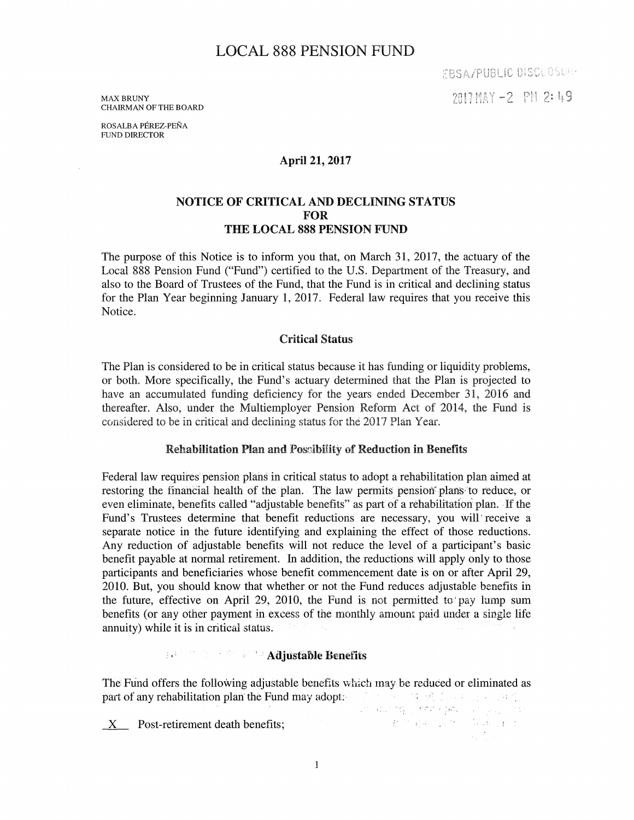# LOCAL 888 PENSION FUND

EBSA/PUBLIC DISCLOSUR-2017 MAY -2 PM 2: 49

**MAX BRUNY** CHAIRMAN OF THE BOARD

ROSALBA PEREZ-PENA FUND DIRECTOR

### April 21, 2017

### NOTICE OF CRITICAL AND DECLINING STATUS FOR THE LOCAL 888 PENSION FUND

The purpose of this Notice is to inform you that, on March 31, 2017, the actuary of the Local 888 Pension Fund ("Fund") certified to the U.S. Department of the Treasury, and also to the Board of Trustees of the Fund, that the Fund is in critical and declining status for the Plan Year beginning January 1, 2017. Federal law requires that you receive this Notice.

#### Critical Status

The Plan is considered to be in critical status because it has funding or liquidity problems, or both. More specifically, the Fund's actuary determined that the Plan is projected to have an accumulated funding deficiency for the years ended December 31, 2016 and thereafter. Also, under the Multiemployer Pension Reform Act of 2014, the Fund is considered to be in critical and declining status for the 2017 Plan Year.

#### Rehabilitation Plan and Possibility of Reduction in Benefits

Federal law requires pension plans in critical status to adopt a rehabilitation plan aimed at restoring the financial health of the plan. The law permits pension plans to reduce, or even eliminate, benefits called "adjustable benefits" as part of a rehabilitation plan. If the Fund's Trustees determine that benefit reductions are necessary; you will' receive a separate notice in the future identifying and explaining the effect of those reductions. Any reduction of adjustable benefits will not reduce the level of a participant's basic benefit payable at normal retirement. In addition, the reductions will apply only to those participants and beneficiaries whose benefit commencement date is on or after April 29, 2010. But, you should know that whether or not the Fund reduces adjustable benefits in the future, effective on April 29, 2010, the Fund is not pemritted to' pay lump sum benefits (or any other payment in excess of the monthly amount paid under a single life annuity) while it is in critical status.

#### $\mathbb{R}^{\mathbb{Z} \times \mathbb{Z} \times \mathbb{Z} \times \mathbb{Z} \times \mathbb{Z}}$  Adjustable Benefits

The Fund offers the following adjustable benefits which may be reduced or eliminated as part of any rehabilitation plan' the Fund may adopt:  $\mathbb{R}^n$  and  $\mathbb{R}^n$  is a subset of  $\mathbb{R}^n$ . an wintig , who spin and applica-

\_x\_ Post-retirement death benefits; . . <sup>~</sup>